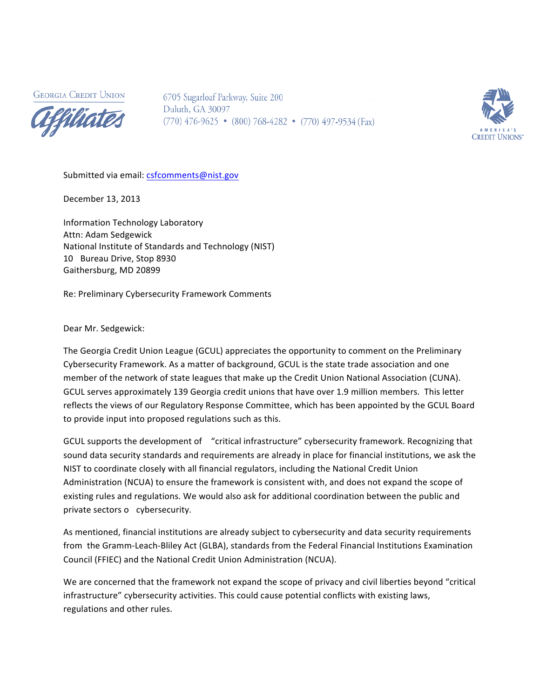**GEORGIA CREDIT UNION** 



6705 Sugarloaf Parkway, Suite 200 Duluth, GA 30097  $(770)$  476-9625 •  $(800)$  768-4282 •  $(770)$  497-9534 (Fax)



Submitted via email: csfcomments@nist.gov

December 13, 2013

Information Technology Laboratory Attn: Adam Sedgewick National Institute of Standards and Technology (NIST) 10 Bureau Drive, Stop 8930 Gaithersburg, MD 20899

Re: Preliminary Cybersecurity Framework Comments

Dear Mr. Sedgewick:

The Georgia Credit Union League (GCUL) appreciates the opportunity to comment on the Preliminary Cybersecurity Framework. As a matter of background, GCUL is the state trade association and one member of the network of state leagues that make up the Credit Union National Association (CUNA). GCUL serves approximately 139 Georgia credit unions that have over 1.9 million members. This letter reflects the views of our Regulatory Response Committee, which has been appointed by the GCUL Board to provide input into proposed regulations such as this.

GCUL supports the development of "critical infrastructure" cybersecurity framework. Recognizing that sound data security standards and requirements are already in place for financial institutions, we ask the NIST to coordinate closely with all financial regulators, including the National Credit Union Administration (NCUA) to ensure the framework is consistent with, and does not expand the scope of existing rules and regulations. We would also ask for additional coordination between the public and private sectors o cybersecurity.

As mentioned, financial institutions are already subject to cybersecurity and data security requirements from the Gramm-Leach-Bliley Act (GLBA), standards from the Federal Financial Institutions Examination Council (FFIEC) and the National Credit Union Administration (NCUA).

We are concerned that the framework not expand the scope of privacy and civil liberties beyond "critical infrastructure" cybersecurity activities. This could cause potential conflicts with existing laws, regulations and other rules.